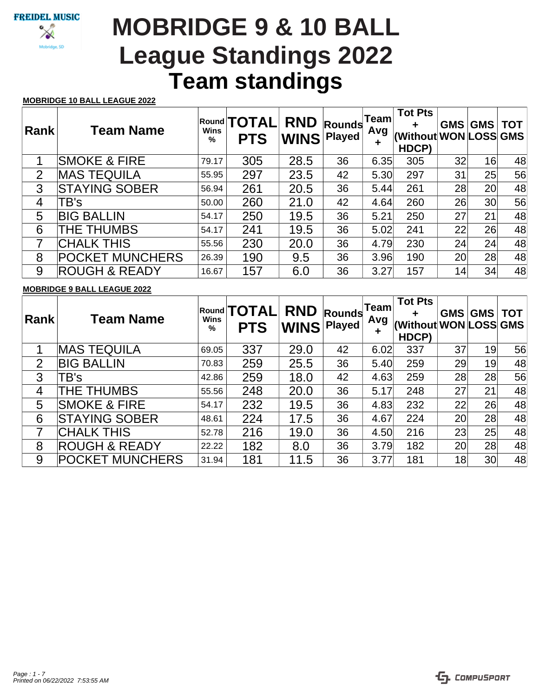# **Team standings MOBRIDGE 9 & 10 BALL League Standings 2022**

### **MOBRIDGE 10 BALL LEAGUE 2022**

| Rank           | <b>Team Name</b>         | <b>Wins</b><br>% | Round <b>TOTAL</b><br><b>PTS</b> | <b>RND</b><br><b>WINS</b> | Rounds<br><b>Played</b> | Team<br>Avg<br>ŧ | <b>Tot Pts</b><br>(Without WON LOSS GMS<br>HDCP) | <b>GMS</b>      | <b>GMS</b>      | <b>TOT</b> |
|----------------|--------------------------|------------------|----------------------------------|---------------------------|-------------------------|------------------|--------------------------------------------------|-----------------|-----------------|------------|
| 1              | <b>SMOKE &amp; FIRE</b>  | 79.17            | 305                              | 28.5                      | 36                      | 6.35             | 305                                              | 32              | 16              | 48         |
| $\overline{2}$ | <b>MAS TEQUILA</b>       | 55.95            | 297                              | 23.5                      | 42                      | 5.30             | 297                                              | 31              | 25 <sup>°</sup> | 56         |
| 3              | <b>STAYING SOBER</b>     | 56.94            | 261                              | 20.5                      | 36                      | 5.44             | 261                                              | 28              | 20 <sup>1</sup> | 48         |
| 4              | TB's                     | 50.00            | 260                              | 21.0                      | 42                      | 4.64             | 260                                              | 26 <sup>°</sup> | 30 <sup>°</sup> | 56         |
| 5              | <b>BIG BALLIN</b>        | 54.17            | 250                              | 19.5                      | 36                      | 5.21             | 250                                              | 27              | 21              | 48         |
| 6              | THE THUMBS               | 54.17            | 241                              | 19.5                      | 36                      | 5.02             | 241                                              | 22              | 26              | 48         |
| 7              | <b>CHALK THIS</b>        | 55.56            | 230                              | 20.0                      | 36                      | 4.79             | 230                                              | 24              | 24              | 48         |
| 8              | <b>POCKET MUNCHERS</b>   | 26.39            | 190                              | 9.5                       | 36                      | 3.96             | 190                                              | 20 <sup>°</sup> | 28              | 48         |
| 9              | <b>ROUGH &amp; READY</b> | 16.67            | 157                              | 6.0                       | 36                      | 3.27             | 157                                              | 14              | 34              | 48         |

### **MOBRIDGE 9 BALL LEAGUE 2022**

| <b>Rank</b>    | <b>Team Name</b>         | Wins<br>% | Round <b>TOTAL</b><br><b>PTS</b> | <b>RND</b><br><b>WINS</b> | <b>Rounds</b><br>Played | Team<br>Avg<br>÷ | <b>Tot Pts</b><br>(Without WON LOSS GMS<br>HDCP) | GMS             | <b>GMS</b>      | <b>TOT</b> |
|----------------|--------------------------|-----------|----------------------------------|---------------------------|-------------------------|------------------|--------------------------------------------------|-----------------|-----------------|------------|
|                | <b>MAS TEQUILA</b>       | 69.05     | 337                              | 29.0                      | 42                      | 6.02             | 337                                              | 37              | 19              | 56         |
| $\overline{2}$ | <b>BIG BALLIN</b>        | 70.83     | 259                              | 25.5                      | 36                      | 5.40             | 259                                              | 29 <sup>°</sup> | 19              | 48         |
| 3              | TB's                     | 42.86     | 259                              | 18.0                      | 42                      | 4.63             | 259                                              | 28              | 28              | 56         |
| 4              | THE THUMBS               | 55.56     | 248                              | 20.0                      | 36                      | 5.17             | 248                                              | 27              | 21              | 48         |
| 5              | <b>SMOKE &amp; FIRE</b>  | 54.17     | 232                              | 19.5                      | 36                      | 4.83             | 232                                              | 22              | 26              | 48         |
| 6              | <b>STAYING SOBER</b>     | 48.61     | 224                              | 17.5                      | 36                      | 4.67             | 224                                              | 20 <sup>°</sup> | 28              | 48         |
| 7              | <b>CHALK THIS</b>        | 52.78     | 216                              | 19.0                      | 36                      | 4.50             | 216                                              | 23              | 25              | 48         |
| 8              | <b>ROUGH &amp; READY</b> | 22.22     | 182                              | 8.0                       | 36                      | 3.79             | 182                                              | 20 <sup>°</sup> | 28              | 48         |
| 9              | <b>POCKET MUNCHERS</b>   | 31.94     | 181                              | 11.5                      | 36                      | 3.77             | 181                                              | 18              | 30 <sup>°</sup> | 48         |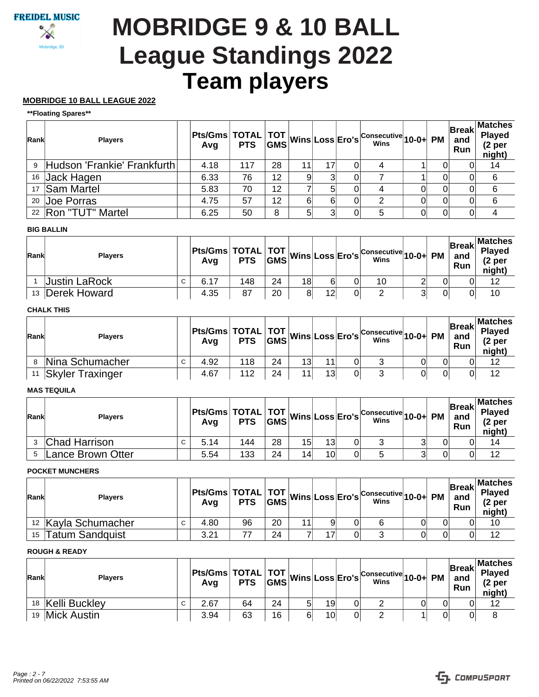# **Team players MOBRIDGE 9 & 10 BALL League Standings 2022**

## **MOBRIDGE 10 BALL LEAGUE 2022**

#### **\*\*Floating Spares\*\***

| Rank | <b>Players</b>                |      |     |    |    |    | Pts/Gms TOTAL TOT Wins Loss Ero's Consecutive 10-0+ PM |   | and<br>Run | <b>Break</b> Matches<br>Played<br>(2 <sub>per</sub> )<br>night) |
|------|-------------------------------|------|-----|----|----|----|--------------------------------------------------------|---|------------|-----------------------------------------------------------------|
|      | 9 Hudson 'Frankie' Frankfurth | 4.18 | 117 | 28 | 11 | 17 |                                                        |   |            | 14                                                              |
|      | 16 Jack Hagen                 | 6.33 | 76  | 12 |    |    |                                                        |   |            | 6                                                               |
|      | 17 Sam Martel                 | 5.83 | 70  | 12 |    | 5  |                                                        |   |            | 6                                                               |
|      | 20 Joe Porras                 | 4.75 | 57  | 12 |    | 6  | 2                                                      | 0 |            | 6                                                               |
|      | 22   Ron "TUT" Martel         | 6.25 | 50  | 8  | 51 |    | 5                                                      | 0 |            |                                                                 |

### **BIG BALLIN**

| Rank | <b>Players</b>  |             | Avg  |     |    |    |    | Pts/Gms TOTAL TOT Wins Loss Ero's Consecutive 10-0+ PM |   | and<br>Run | Matches <br><b>Played</b><br>(2 per<br>night) |
|------|-----------------|-------------|------|-----|----|----|----|--------------------------------------------------------|---|------------|-----------------------------------------------|
|      | Justin LaRock   | $\sim$<br>◡ | 6.17 | 148 | 24 | 18 |    | 10                                                     |   |            | 12                                            |
|      | 13 Derek Howard |             | 4.35 | 87  | 20 | 81 | 12 |                                                        | ົ |            | 10                                            |

# **CHALK THIS**

| Rank | <b>Plavers</b>          |             | Avq  |     |    |                 |    |    | <b>Pts/Gms</b> TOTAL TOT Wins Loss Ero's Consecutive 10-0+ PM |  | <b>Break</b><br>and<br><b>Run</b> | <b>Matches</b><br><b>Played</b><br>(2 <sub>per</sub> )<br>night) |
|------|-------------------------|-------------|------|-----|----|-----------------|----|----|---------------------------------------------------------------|--|-----------------------------------|------------------------------------------------------------------|
| 8    | Nina Schumacher         | $\sim$<br>◡ | 4.92 | 118 | 24 | 13 <sub>l</sub> | 11 | 01 | ◠                                                             |  |                                   | 12                                                               |
| 11   | <b>Skyler Traxinger</b> |             | 4.67 | 112 | 24 |                 | 13 | 01 | ົ                                                             |  |                                   | 12                                                               |

#### **MAS TEQUILA**

| Rank | <b>Players</b>    |    | Avq  |     |    |    |    | Pts/Gms TOTAL TOT Wins Loss Ero's Consecutive 10-0+ PM |   | <b>Break</b><br>and<br>Run | <b>Matches</b><br><b>Played</b><br>(2 <sub>per</sub> )<br>night) |
|------|-------------------|----|------|-----|----|----|----|--------------------------------------------------------|---|----------------------------|------------------------------------------------------------------|
|      | Chad Harrison     | C. | 5.14 | 144 | 28 | 15 | 13 | ັ                                                      | ົ |                            | 14                                                               |
|      | Lance Brown Otter |    | 5.54 | 133 | 24 | 14 | 10 |                                                        | ົ |                            | 12                                                               |

## **POCKET MUNCHERS**

| Rank | <b>Plavers</b>                 |   |      |    |    |  | Pts/Gms TOTAL TOT Wins Loss Ero's Consecutive 10-0+ PM |  | ∣Break⊡<br>and<br>Run | <b>Matches</b><br><b>Played</b><br>(2 per<br>night) |
|------|--------------------------------|---|------|----|----|--|--------------------------------------------------------|--|-----------------------|-----------------------------------------------------|
|      | <sup>12</sup> Kayla Schumacher | C | 4.80 | 96 | 20 |  | 6                                                      |  |                       | 10                                                  |
| 15   | Tatum Sandquist                |   | 3.21 |    | 24 |  |                                                        |  |                       | 12                                                  |

# **ROUGH & READY**

| Rank | <b>Plavers</b> |   | Avg  |    |    |    | Pts/Gms TOTAL TOT Wins Loss Ero's Consecutive 10-0+ PM |  | and<br>Run | Matches <br>Break Played<br>(2 per<br>night) |
|------|----------------|---|------|----|----|----|--------------------------------------------------------|--|------------|----------------------------------------------|
| 18   | Kelli Buckley  | C | 2.67 | 64 | 24 | 19 |                                                        |  |            | 12                                           |
| 19   | Mick Austin    |   | 3.94 | 63 | 16 | 10 |                                                        |  | 01         |                                              |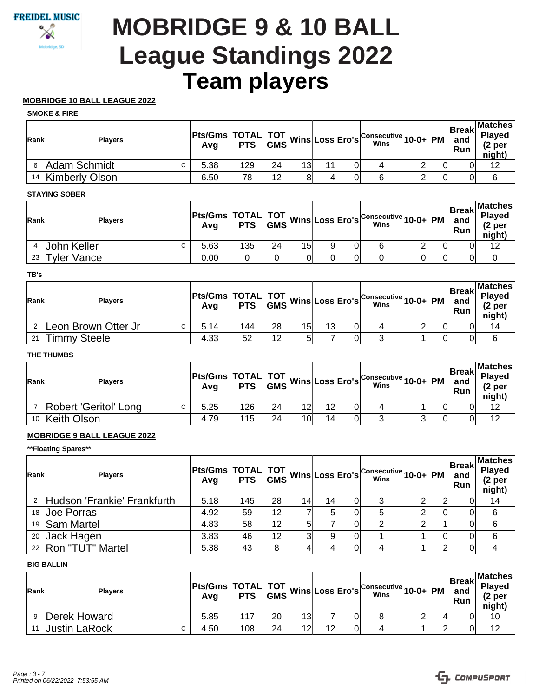# **Team players MOBRIDGE 9 & 10 BALL League Standings 2022**

## **MOBRIDGE 10 BALL LEAGUE 2022**

#### **SMOKE & FIRE**

| Rank | <b>Players</b>    |   |      |     |    |                 |    | Pts/Gms TOTAL TOT Wins Loss Ero's Consecutive 10-0+ PM |  | and<br>Run | Matches <br>Break Played<br>(2 <sub>per</sub> )<br>night) |
|------|-------------------|---|------|-----|----|-----------------|----|--------------------------------------------------------|--|------------|-----------------------------------------------------------|
|      | Adam Schmidt      | C | 5.38 | 129 | 24 | 13 <sub>l</sub> | 11 |                                                        |  |            | 12                                                        |
|      | 14 Kimberly Olson |   | 6.50 | 78  | 12 | 8               |    | ь                                                      |  |            | 6                                                         |

#### **STAYING SOBER**

| Rank | <b>Players</b>     |   | Avq  |     |    |    |  | Pts/Gms TOTAL TOT Wins Loss Ero's Consecutive 10-0+ PM |  | and<br>Run | <b>Matches</b><br><b>Break</b> Played<br>(2 <sub>per</sub> )<br>night) |
|------|--------------------|---|------|-----|----|----|--|--------------------------------------------------------|--|------------|------------------------------------------------------------------------|
|      | John Keller        | C | 5.63 | 135 | 24 | 15 |  | b                                                      |  |            | 12                                                                     |
| 23   | <b>Tyler Vance</b> |   | 0.00 |     |    |    |  |                                                        |  |            |                                                                        |

#### **TB's**

| Rank | <b>Players</b>      |   |      |     |    |    |    | Pts/Gms TOTAL TOT Wins Loss Ero's Consecutive 10-0+ PM |   | ∣Break∣ ˈ<br>and<br>Run | Matches <br>Played<br>(2 per<br>night) |
|------|---------------------|---|------|-----|----|----|----|--------------------------------------------------------|---|-------------------------|----------------------------------------|
|      | Leon Brown Otter Jr | С | 5.14 | 144 | 28 | 15 | 13 |                                                        | ⌒ |                         | 14                                     |
| 21   | Timmy Steele        |   | 4.33 | 52  | 12 | ς  |    |                                                        |   |                         | 6                                      |

### **THE THUMBS**

| Rank | <b>Plavers</b>        |   |      |     |    |                 |    | <b>Pts/Gms</b> TOTAL TOT Wins Loss Ero's Consecutive 10-0+ |   | <b>PM</b> | and<br>Run | <b>Matches</b><br><b>Rangel Break</b> Playeo<br>(2 per<br>night) |
|------|-----------------------|---|------|-----|----|-----------------|----|------------------------------------------------------------|---|-----------|------------|------------------------------------------------------------------|
|      | Robert 'Geritol' Long | C | 5.25 | 126 | 24 |                 | 12 |                                                            |   |           | 0          | 12                                                               |
|      | 10 Keith Olson        |   | 4.79 | 115 | 24 | 10 <sup>1</sup> | 14 |                                                            | ⌒ | 01        | 01         | 12                                                               |

# **MOBRIDGE 9 BALL LEAGUE 2022**

**\*\*Floating Spares\*\***

| Rank | <b>Players</b>              |      |     |    |                 |    |    | Pts/Gms TOTAL TOT Wins Loss Ero's Consecutive 10-0+ PM |   |   | <b>Break</b><br>and<br>Run | <b>Matches</b><br><b>Played</b><br>(2 <sub>per</sub> )<br>night) |
|------|-----------------------------|------|-----|----|-----------------|----|----|--------------------------------------------------------|---|---|----------------------------|------------------------------------------------------------------|
|      | Hudson 'Frankie' Frankfurth | 5.18 | 145 | 28 | 14 <sub>1</sub> | 14 | ΩI |                                                        |   |   |                            | 14                                                               |
|      | 18 Joe Porras               | 4.92 | 59  | 12 |                 | 5  | 0  | 5                                                      | ◠ |   |                            | 6                                                                |
|      | 19 Sam Martel               | 4.83 | 58  | 12 | 5               |    | 0  | 2                                                      |   |   |                            | 6                                                                |
|      | 20 Jack Hagen               | 3.83 | 46  | 12 | າ               |    | 0  |                                                        |   |   |                            | 6                                                                |
|      | 22   Ron "TUT" Martel       | 5.38 | 43  | 8  |                 |    | 0  | 4                                                      |   | ◠ |                            | 4                                                                |

#### **BIG BALLIN**

| Rank | <b>Plavers</b>       |   |      |     |    |    |    | Pts/Gms TOTAL TOT Wins Loss Ero's Consecutive 10-0+ PM |  | and<br>Run | <b>Matches</b><br>Break Playeo<br>(2 per<br>night) |
|------|----------------------|---|------|-----|----|----|----|--------------------------------------------------------|--|------------|----------------------------------------------------|
|      | Derek Howard         |   | 5.85 | 117 | 20 | 13 |    |                                                        |  |            | 10                                                 |
| 11   | <b>Justin LaRock</b> | С | 4.50 | 108 | 24 | 12 | 12 |                                                        |  |            | 12                                                 |

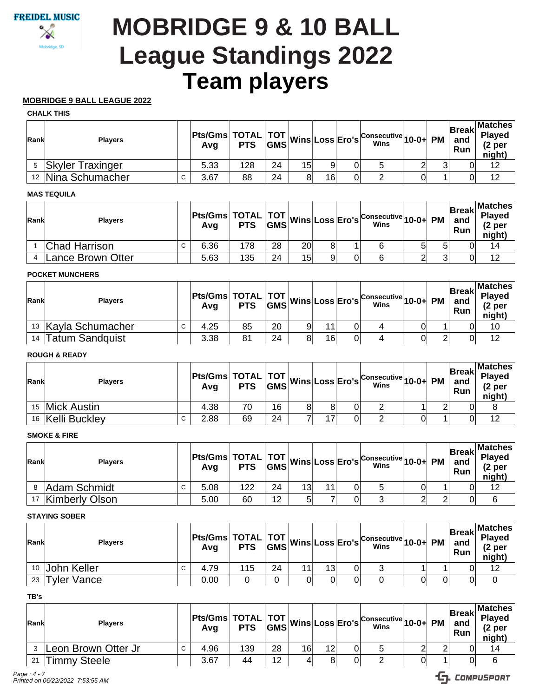# **Team players MOBRIDGE 9 & 10 BALL League Standings 2022**

## **MOBRIDGE 9 BALL LEAGUE 2022**

#### **CHALK THIS**

| Rank | <b>Players</b>          |   |      |     |    |    |    | Pts/Gms TOTAL TOT Wins Loss Ero's Consecutive 10-0+ PM |   | <b>Break</b><br>and<br>Run | Matches <br>Played<br>(2 per<br>night) |
|------|-------------------------|---|------|-----|----|----|----|--------------------------------------------------------|---|----------------------------|----------------------------------------|
|      | <b>Skyler Traxinger</b> |   | 5.33 | 128 | 24 | 15 |    | 5                                                      | ⌒ |                            | 12                                     |
|      | 12 Nina Schumacher      | С | 3.67 | 88  | 24 | 81 | 16 |                                                        |   |                            | 12                                     |

### **MAS TEQUILA**

| Rank | <b>Plavers</b>    |   |      |     |    |    |  | Pts/Gms TOTAL TOT Wins Loss Ero's Consecutive 10-0+ PM |   | and<br>Run | <b>Matches</b><br>Break Played<br>(2 per<br>night) |
|------|-------------------|---|------|-----|----|----|--|--------------------------------------------------------|---|------------|----------------------------------------------------|
|      | Chad Harrison     | C | 6.36 | 178 | 28 | 20 |  | b                                                      | 5 |            | 14                                                 |
|      | Lance Brown Otter |   | 5.63 | 135 | 24 | 15 |  | 6                                                      |   |            | 12                                                 |

#### **POCKET MUNCHERS**

| Rank | <b>Players</b>      |   | Avq  |    |    |    | Pts/Gms TOTAL TOT Wins Loss Ero's Consecutive 10-0+ PM |  | ∣Break⊟<br>and<br>Run | <b>Matches</b><br><b>Played</b><br>(2 per<br>night) |
|------|---------------------|---|------|----|----|----|--------------------------------------------------------|--|-----------------------|-----------------------------------------------------|
|      | 13 Kayla Schumacher | C | 4.25 | 85 | 20 | 44 | 4                                                      |  |                       | 10                                                  |
| 14   | 'Tatum Sandquist    |   | 3.38 | 81 | 24 | 16 |                                                        |  |                       | 12                                                  |

### **ROUGH & READY**

| Rank | <b>Players</b>   |   | Avg  |    |    |    | Pts/Gms TOTAL TOT Wins Loss Ero's Consecutive 10-0+ PM |  | <b>Break</b><br>and<br>Run | <b>Matches</b><br>Played<br>(2 per<br>night) |
|------|------------------|---|------|----|----|----|--------------------------------------------------------|--|----------------------------|----------------------------------------------|
| 15   | Mick Austin      |   | 4.38 | 70 | 16 |    |                                                        |  |                            |                                              |
|      | 16 Kelli Buckley | C | 2.88 | 69 | 24 | 17 | _                                                      |  |                            | 12                                           |

# **SMOKE & FIRE**

| Rank | <b>Plavers</b>        |   |      |     |    |                 |    | Pts/Gms TOTAL TOT Wins Loss Ero's Consecutive 10-0+ PM |  | <b>Break</b><br>and<br><b>Run</b> | <b>Matches</b><br><b>Played</b><br>$(2p$ er<br>night) |
|------|-----------------------|---|------|-----|----|-----------------|----|--------------------------------------------------------|--|-----------------------------------|-------------------------------------------------------|
|      | Adam Schmidt          | C | 5.08 | 122 | 24 | 13 <sub>l</sub> | 11 |                                                        |  |                                   | 12                                                    |
| 17   | <b>Kimberly Olson</b> |   | 5.00 | 60  | 12 | ς               |    |                                                        |  |                                   |                                                       |

#### **STAYING SOBER**

| Rank | <b>Players</b> |   |      |     |    |    | Pts/Gms TOTAL TOT Wins Loss Ero's Consecutive 10-0+ PM |  | ∣Break⊡<br>and<br>Run | <b>Matches</b><br><b>Played</b><br>(2 <sub>per</sub> )<br>night) |
|------|----------------|---|------|-----|----|----|--------------------------------------------------------|--|-----------------------|------------------------------------------------------------------|
|      | 10 John Keller | С | 4.79 | 115 | 24 | 13 |                                                        |  |                       | 12                                                               |
| 23   | Tyler Vance    |   | 0.00 |     |    |    |                                                        |  |                       |                                                                  |

**TB's**

| Rank | <b>Plavers</b>      |             | <b>Pts/Gms   TOTAL   TOT  </b> ,<br>Avg | <b>PTS</b> | <b>GMS</b> |    | Wins Loss Ero's | $\sim$ Consecutive 10-0+ PM<br>Wins |  | <b>Break</b><br>and<br>Run | Matches<br>Played<br>(2 per<br>night) |
|------|---------------------|-------------|-----------------------------------------|------------|------------|----|-----------------|-------------------------------------|--|----------------------------|---------------------------------------|
|      | Leon Brown Otter Jr | $\sim$<br>U | 4.96                                    | 139        | 28         | 16 | 12              |                                     |  |                            | 14                                    |
| 21   | <b>Timmy Steele</b> |             | 3.67                                    | 44         | 12         |    |                 | ⌒                                   |  |                            | 6                                     |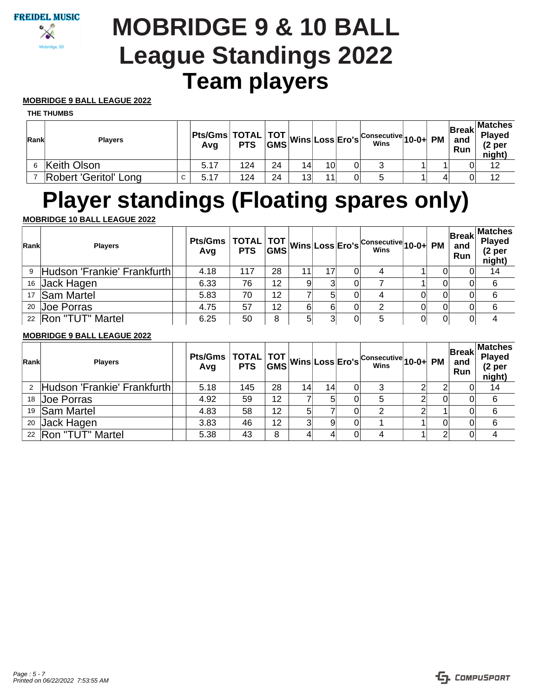# **Team players MOBRIDGE 9 & 10 BALL League Standings 2022**

# **MOBRIDGE 9 BALL LEAGUE 2022**

#### **THE THUMBS**

| Rank | <b>Plavers</b>        |   | Avg  |     |    |                 |    | Pts/Gms TOTAL TOT Wins Loss Ero's Consecutive 10-0+ PM |  | and<br>Run | Matches <br>Break Playeo<br>(2 per<br>night) |
|------|-----------------------|---|------|-----|----|-----------------|----|--------------------------------------------------------|--|------------|----------------------------------------------|
|      | Keith Olson           |   | 5.17 | 124 | 24 | 14              | 10 |                                                        |  |            | 12                                           |
|      | Robert 'Geritol' Long | C | 5.17 | 124 | 24 | 13 <sup>l</sup> | 11 | 5                                                      |  |            | 12                                           |

# **Player standings (Floating spares only)**

# **MOBRIDGE 10 BALL LEAGUE 2022**

| Rank | <b>Players</b>                           | Pts/Gms   TOTAL   TOT   Wins Loss Ero's <sup>  Consecutive</sup> 10-0+ PM<br>  Avg   PTS   GMS <sup>  Wins</sup> Loss   Ero's <sup>  Consecutive</sup> 10-0+ PM |     |    |    |    |   |    | <b>Break</b><br>and<br>Run | <b>Matches</b><br>Played<br>(2 <sub>per</sub> )<br>night) |
|------|------------------------------------------|-----------------------------------------------------------------------------------------------------------------------------------------------------------------|-----|----|----|----|---|----|----------------------------|-----------------------------------------------------------|
|      | <sup>9</sup> Hudson 'Frankie' Frankfurth | 4.18                                                                                                                                                            | 117 | 28 | 11 | 17 |   |    |                            | 14                                                        |
|      | 16 Jack Hagen                            | 6.33                                                                                                                                                            | 76  | 12 |    |    |   |    |                            | 6                                                         |
|      | 17 Sam Martel                            | 5.83                                                                                                                                                            | 70  | 12 |    |    |   | 01 |                            | 6                                                         |
|      | 20 Joe Porras                            | 4.75                                                                                                                                                            | 57  | 12 | 6  | 61 | 2 | 01 |                            | 6                                                         |
|      | 22   Ron "TUT" Martel                    | 6.25                                                                                                                                                            | 50  | 8  |    |    | 5 | 01 |                            |                                                           |

## **MOBRIDGE 9 BALL LEAGUE 2022**

| Rank | <b>Players</b>              | Pts/Gms TOTAL TOT Wins Loss Ero's Consecutive 10-0+ PM |     |    |                 |                 |   |  | and<br>Run | <b>Break</b> Matches<br>Played<br>(2 <sub>p</sub> )<br>night) |
|------|-----------------------------|--------------------------------------------------------|-----|----|-----------------|-----------------|---|--|------------|---------------------------------------------------------------|
|      | Hudson 'Frankie' Frankfurth | 5.18                                                   | 145 | 28 | 14 <sub>1</sub> | 14 <sub>1</sub> | 3 |  |            | 14                                                            |
|      | 18 Joe Porras               | 4.92                                                   | 59  | 12 |                 | 5               | 5 |  |            | -6                                                            |
|      | 19 Sam Martel               | 4.83                                                   | 58  | 12 |                 |                 | 2 |  |            | -6                                                            |
|      | 20 Jack Hagen               | 3.83                                                   | 46  | 12 | ว               | 9               |   |  |            | 6                                                             |
|      | 22 Ron "TUT" Martel         | 5.38                                                   | 43  | 8  |                 |                 | 4 |  |            |                                                               |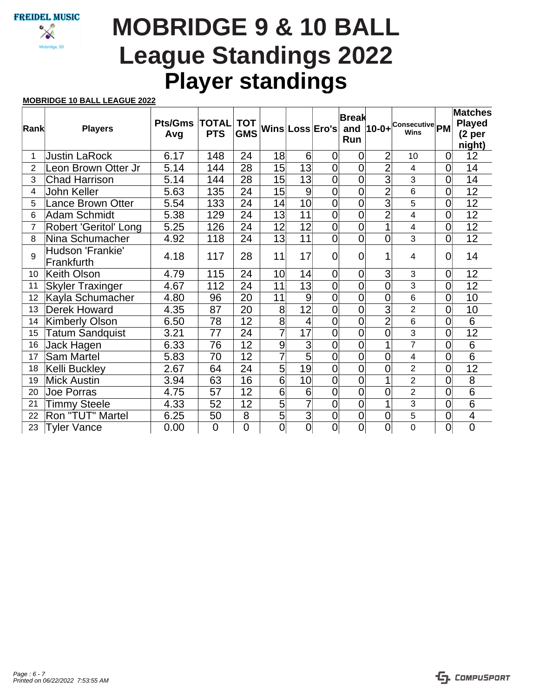# **Player standings MOBRIDGE 9 & 10 BALL League Standings 2022**

### **MOBRIDGE 10 BALL LEAGUE 2022**

|                |                                |                       |                |                 |                 |                 |                         | <b>Break</b>   |                |                                                |                | <b>Matches</b>           |
|----------------|--------------------------------|-----------------------|----------------|-----------------|-----------------|-----------------|-------------------------|----------------|----------------|------------------------------------------------|----------------|--------------------------|
| Rank           | <b>Players</b>                 | <b>Pts/Gms  TOTAL</b> |                | <b>TOT</b>      |                 |                 | Wins Loss Ero's         |                |                | and $ 10-0+$ <sup>Consecutive</sup> PM<br>Wins |                | <b>Played</b>            |
|                |                                | Avg                   | <b>PTS</b>     | <b>GMS</b>      |                 |                 |                         | Run            |                |                                                |                | (2 per<br>night)         |
| 1              | <b>Justin LaRock</b>           | 6.17                  | 148            | 24              | 18              | 6               | $\overline{0}$          | $\overline{0}$ | $\overline{2}$ | 10                                             | $\overline{0}$ | 12                       |
| $\overline{2}$ | Leon Brown Otter Jr            | 5.14                  | 144            | 28              | $\overline{15}$ | $\overline{13}$ | $\overline{0}$          | $\overline{0}$ | $\overline{2}$ | 4                                              | 0              | 14                       |
| 3              | <b>Chad Harrison</b>           | 5.14                  | 144            | 28              | 15              | 13              | $\overline{0}$          | $\overline{0}$ | $\overline{3}$ | 3                                              | $\mathbf 0$    | 14                       |
| 4              | John Keller                    | 5.63                  | 135            | 24              | 15              | 9               | $\overline{0}$          | $\overline{0}$ | $\overline{2}$ | 6                                              | 0              | 12                       |
| 5              | <b>Lance Brown Otter</b>       | 5.54                  | 133            | 24              | 4               | 10              | $\overline{\mathsf{O}}$ | $\overline{0}$ | $\overline{3}$ | 5                                              | $\overline{0}$ | $\overline{12}$          |
| 6              | Adam Schmidt                   | 5.38                  | 129            | 24              | 13              | 11              | $\overline{0}$          | $\overline{0}$ | $\overline{2}$ | $\overline{4}$                                 | $\overline{0}$ | $\overline{12}$          |
| 7              | Robert 'Geritol' Long          | 5.25                  | 126            | 24              | 12              | 12              | $\overline{0}$          | $\overline{0}$ | 1              | $\overline{4}$                                 | 0              | 12                       |
| 8              | Nina Schumacher                | 4.92                  | 118            | 24              | 13              | 11              | $\overline{0}$          | $\overline{0}$ | 0              | 3                                              | 0              | 12                       |
| 9              | Hudson 'Frankie'<br>Frankfurth | 4.18                  | 117            | 28              | 11              | 17              | $\overline{0}$          | $\overline{0}$ | 1              | 4                                              | $\overline{0}$ | 14                       |
| 10             | Keith Olson                    | 4.79                  | 115            | 24              | 10              | 14              | $\overline{0}$          | $\overline{0}$ | 3              | 3                                              | 0              | 12                       |
| 11             | <b>Skyler Traxinger</b>        | 4.67                  | 112            | 24              | 11              | $\overline{13}$ | $\overline{0}$          | $\overline{0}$ | $\overline{0}$ | 3                                              | 0              | 12                       |
| 12             | Kayla Schumacher               | 4.80                  | 96             | 20              | 11              | 9               | $\overline{0}$          | $\overline{0}$ | $\overline{0}$ | 6                                              | 0              | 10                       |
| 13             | <b>Derek Howard</b>            | 4.35                  | 87             | 20              | $\overline{8}$  | $\overline{12}$ | $\overline{0}$          | $\overline{0}$ | $\overline{3}$ | $\overline{2}$                                 | 0              | 10                       |
| 14             | <b>Kimberly Olson</b>          | 6.50                  | 78             | 12              | $\overline{8}$  | 4               | $\overline{0}$          | $\overline{0}$ | $\overline{2}$ | 6                                              | 0              | $\overline{6}$           |
| 15             | <b>Tatum Sandquist</b>         | 3.21                  | 77             | 24              | $\overline{7}$  | 17              | $\overline{0}$          | $\overline{0}$ | $\overline{0}$ | $\overline{3}$                                 | $\overline{0}$ | 12                       |
| 16             | Jack Hagen                     | 6.33                  | 76             | 12              | $\overline{9}$  | 3               | $\overline{0}$          | $\overline{0}$ | 1              | $\overline{7}$                                 | 0              | $\overline{6}$           |
| 17             | <b>Sam Martel</b>              | 5.83                  | 70             | $\overline{12}$ | $\overline{7}$  | $\overline{5}$  | $\overline{0}$          | $\overline{0}$ | 0              | $\overline{\mathbf{4}}$                        | 0              | $\overline{6}$           |
| 18             | Kelli Buckley                  | 2.67                  | 64             | 24              | $\overline{5}$  | 19              | $\overline{0}$          | $\overline{0}$ | 0              | $\overline{2}$                                 | 0              | $\overline{12}$          |
| 19             | <b>Mick Austin</b>             | 3.94                  | 63             | 16              | $\overline{6}$  | 10              | $\overline{0}$          | $\overline{0}$ | 1              | $\overline{2}$                                 | 0              | $\overline{8}$           |
| 20             | Joe Porras                     | 4.75                  | 57             | 12              | $\overline{6}$  | 6               | $\overline{0}$          | $\overline{0}$ | $\overline{0}$ | $\overline{2}$                                 | 0              | $\overline{6}$           |
| 21             | <b>Timmy Steele</b>            | 4.33                  | 52             | 12              | $\overline{5}$  | 7               | $\overline{0}$          | $\overline{0}$ | 1              | 3                                              | 0              | $\overline{6}$           |
| 22             | Ron "TUT" Martel               | 6.25                  | 50             | 8               | $\overline{5}$  | $\overline{3}$  | $\mathbf 0$             | $\mathbf 0$    | 0              | 5                                              | 0              | $\overline{\mathcal{A}}$ |
| 23             | <b>Tyler Vance</b>             | 0.00                  | $\overline{0}$ | 0               | $\overline{0}$  | $\overline{0}$  | $\overline{0}$          | $\overline{0}$ | $\overline{0}$ | $\overline{0}$                                 | 0              | $\overline{0}$           |